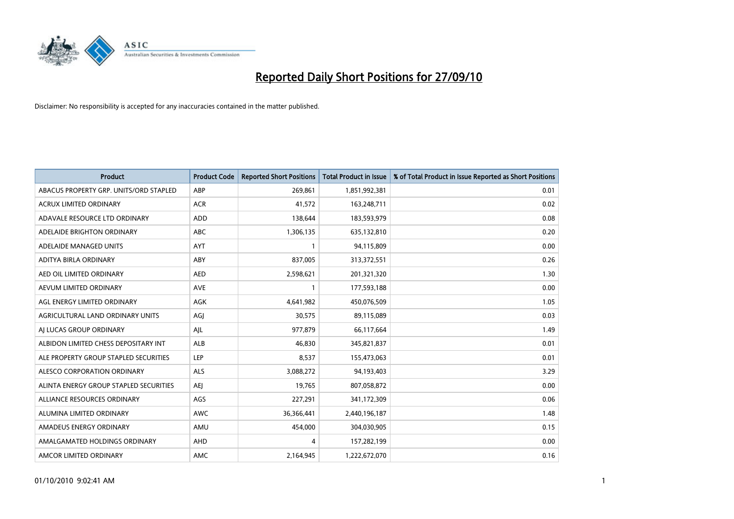

| <b>Product</b>                         | <b>Product Code</b> | <b>Reported Short Positions</b> | <b>Total Product in Issue</b> | % of Total Product in Issue Reported as Short Positions |
|----------------------------------------|---------------------|---------------------------------|-------------------------------|---------------------------------------------------------|
| ABACUS PROPERTY GRP. UNITS/ORD STAPLED | ABP                 | 269,861                         | 1,851,992,381                 | 0.01                                                    |
| <b>ACRUX LIMITED ORDINARY</b>          | <b>ACR</b>          | 41,572                          | 163,248,711                   | 0.02                                                    |
| ADAVALE RESOURCE LTD ORDINARY          | ADD                 | 138,644                         | 183,593,979                   | 0.08                                                    |
| ADELAIDE BRIGHTON ORDINARY             | <b>ABC</b>          | 1,306,135                       | 635,132,810                   | 0.20                                                    |
| ADELAIDE MANAGED UNITS                 | <b>AYT</b>          |                                 | 94,115,809                    | 0.00                                                    |
| ADITYA BIRLA ORDINARY                  | ABY                 | 837,005                         | 313,372,551                   | 0.26                                                    |
| AED OIL LIMITED ORDINARY               | <b>AED</b>          | 2,598,621                       | 201,321,320                   | 1.30                                                    |
| AEVUM LIMITED ORDINARY                 | <b>AVE</b>          |                                 | 177,593,188                   | 0.00                                                    |
| AGL ENERGY LIMITED ORDINARY            | <b>AGK</b>          | 4,641,982                       | 450,076,509                   | 1.05                                                    |
| AGRICULTURAL LAND ORDINARY UNITS       | AGI                 | 30,575                          | 89,115,089                    | 0.03                                                    |
| AI LUCAS GROUP ORDINARY                | AJL                 | 977,879                         | 66,117,664                    | 1.49                                                    |
| ALBIDON LIMITED CHESS DEPOSITARY INT   | <b>ALB</b>          | 46,830                          | 345,821,837                   | 0.01                                                    |
| ALE PROPERTY GROUP STAPLED SECURITIES  | LEP                 | 8.537                           | 155,473,063                   | 0.01                                                    |
| ALESCO CORPORATION ORDINARY            | <b>ALS</b>          | 3,088,272                       | 94,193,403                    | 3.29                                                    |
| ALINTA ENERGY GROUP STAPLED SECURITIES | <b>AEI</b>          | 19,765                          | 807,058,872                   | 0.00                                                    |
| ALLIANCE RESOURCES ORDINARY            | AGS                 | 227,291                         | 341,172,309                   | 0.06                                                    |
| ALUMINA LIMITED ORDINARY               | <b>AWC</b>          | 36,366,441                      | 2,440,196,187                 | 1.48                                                    |
| AMADEUS ENERGY ORDINARY                | AMU                 | 454,000                         | 304,030,905                   | 0.15                                                    |
| AMALGAMATED HOLDINGS ORDINARY          | AHD                 | 4                               | 157,282,199                   | 0.00                                                    |
| AMCOR LIMITED ORDINARY                 | AMC                 | 2,164,945                       | 1,222,672,070                 | 0.16                                                    |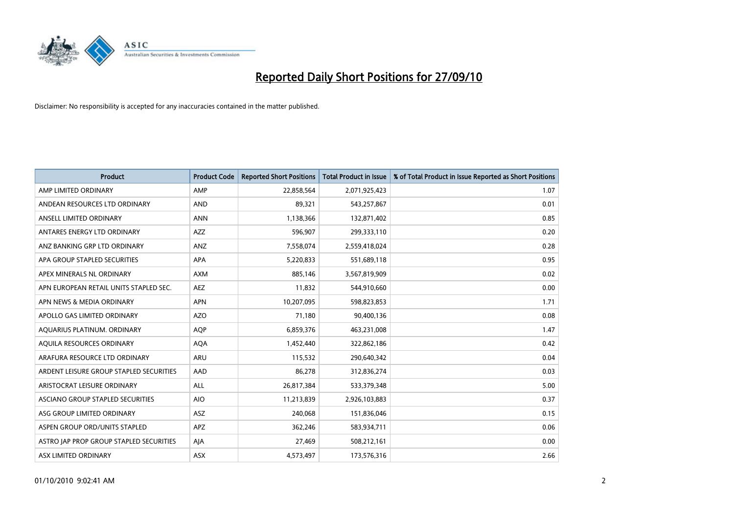

| <b>Product</b>                          | <b>Product Code</b> | <b>Reported Short Positions</b> | Total Product in Issue | % of Total Product in Issue Reported as Short Positions |
|-----------------------------------------|---------------------|---------------------------------|------------------------|---------------------------------------------------------|
| AMP LIMITED ORDINARY                    | AMP                 | 22,858,564                      | 2,071,925,423          | 1.07                                                    |
| ANDEAN RESOURCES LTD ORDINARY           | <b>AND</b>          | 89,321                          | 543,257,867            | 0.01                                                    |
| ANSELL LIMITED ORDINARY                 | <b>ANN</b>          | 1,138,366                       | 132,871,402            | 0.85                                                    |
| ANTARES ENERGY LTD ORDINARY             | <b>AZZ</b>          | 596,907                         | 299,333,110            | 0.20                                                    |
| ANZ BANKING GRP LTD ORDINARY            | ANZ                 | 7,558,074                       | 2,559,418,024          | 0.28                                                    |
| APA GROUP STAPLED SECURITIES            | <b>APA</b>          | 5,220,833                       | 551,689,118            | 0.95                                                    |
| APEX MINERALS NL ORDINARY               | <b>AXM</b>          | 885,146                         | 3,567,819,909          | 0.02                                                    |
| APN EUROPEAN RETAIL UNITS STAPLED SEC.  | <b>AEZ</b>          | 11,832                          | 544,910,660            | 0.00                                                    |
| APN NEWS & MEDIA ORDINARY               | <b>APN</b>          | 10,207,095                      | 598,823,853            | 1.71                                                    |
| APOLLO GAS LIMITED ORDINARY             | <b>AZO</b>          | 71,180                          | 90,400,136             | 0.08                                                    |
| AQUARIUS PLATINUM. ORDINARY             | <b>AQP</b>          | 6,859,376                       | 463,231,008            | 1.47                                                    |
| AQUILA RESOURCES ORDINARY               | <b>AQA</b>          | 1,452,440                       | 322,862,186            | 0.42                                                    |
| ARAFURA RESOURCE LTD ORDINARY           | <b>ARU</b>          | 115,532                         | 290,640,342            | 0.04                                                    |
| ARDENT LEISURE GROUP STAPLED SECURITIES | AAD                 | 86,278                          | 312,836,274            | 0.03                                                    |
| ARISTOCRAT LEISURE ORDINARY             | ALL                 | 26,817,384                      | 533,379,348            | 5.00                                                    |
| ASCIANO GROUP STAPLED SECURITIES        | <b>AIO</b>          | 11,213,839                      | 2,926,103,883          | 0.37                                                    |
| ASG GROUP LIMITED ORDINARY              | ASZ                 | 240,068                         | 151,836,046            | 0.15                                                    |
| ASPEN GROUP ORD/UNITS STAPLED           | <b>APZ</b>          | 362,246                         | 583,934,711            | 0.06                                                    |
| ASTRO JAP PROP GROUP STAPLED SECURITIES | AJA                 | 27,469                          | 508,212,161            | 0.00                                                    |
| ASX LIMITED ORDINARY                    | ASX                 | 4,573,497                       | 173,576,316            | 2.66                                                    |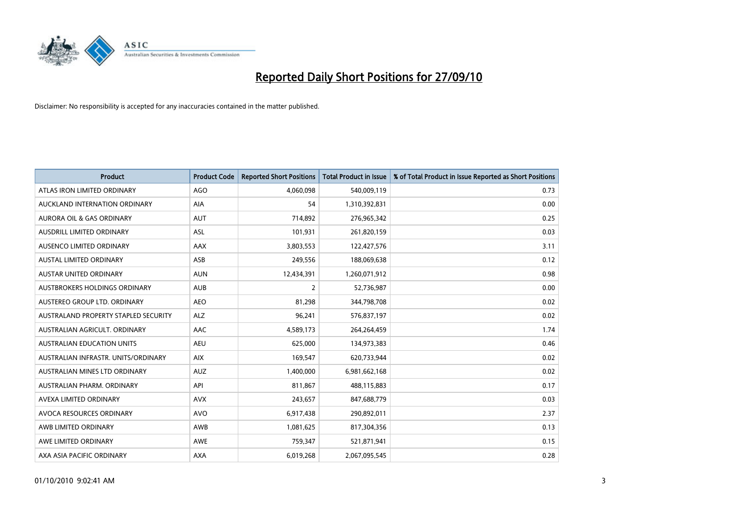

| <b>Product</b>                       | <b>Product Code</b> | <b>Reported Short Positions</b> | <b>Total Product in Issue</b> | % of Total Product in Issue Reported as Short Positions |
|--------------------------------------|---------------------|---------------------------------|-------------------------------|---------------------------------------------------------|
| ATLAS IRON LIMITED ORDINARY          | <b>AGO</b>          | 4,060,098                       | 540,009,119                   | 0.73                                                    |
| AUCKLAND INTERNATION ORDINARY        | AIA                 | 54                              | 1,310,392,831                 | 0.00                                                    |
| <b>AURORA OIL &amp; GAS ORDINARY</b> | <b>AUT</b>          | 714,892                         | 276,965,342                   | 0.25                                                    |
| AUSDRILL LIMITED ORDINARY            | ASL                 | 101,931                         | 261,820,159                   | 0.03                                                    |
| AUSENCO LIMITED ORDINARY             | <b>AAX</b>          | 3,803,553                       | 122,427,576                   | 3.11                                                    |
| <b>AUSTAL LIMITED ORDINARY</b>       | ASB                 | 249,556                         | 188,069,638                   | 0.12                                                    |
| <b>AUSTAR UNITED ORDINARY</b>        | <b>AUN</b>          | 12,434,391                      | 1,260,071,912                 | 0.98                                                    |
| AUSTBROKERS HOLDINGS ORDINARY        | <b>AUB</b>          | 2                               | 52,736,987                    | 0.00                                                    |
| AUSTEREO GROUP LTD. ORDINARY         | <b>AEO</b>          | 81,298                          | 344,798,708                   | 0.02                                                    |
| AUSTRALAND PROPERTY STAPLED SECURITY | <b>ALZ</b>          | 96,241                          | 576,837,197                   | 0.02                                                    |
| AUSTRALIAN AGRICULT. ORDINARY        | AAC                 | 4,589,173                       | 264,264,459                   | 1.74                                                    |
| AUSTRALIAN EDUCATION UNITS           | <b>AEU</b>          | 625,000                         | 134,973,383                   | 0.46                                                    |
| AUSTRALIAN INFRASTR, UNITS/ORDINARY  | <b>AIX</b>          | 169,547                         | 620,733,944                   | 0.02                                                    |
| AUSTRALIAN MINES LTD ORDINARY        | <b>AUZ</b>          | 1,400,000                       | 6,981,662,168                 | 0.02                                                    |
| AUSTRALIAN PHARM, ORDINARY           | API                 | 811,867                         | 488,115,883                   | 0.17                                                    |
| AVEXA LIMITED ORDINARY               | <b>AVX</b>          | 243,657                         | 847,688,779                   | 0.03                                                    |
| AVOCA RESOURCES ORDINARY             | <b>AVO</b>          | 6,917,438                       | 290,892,011                   | 2.37                                                    |
| AWB LIMITED ORDINARY                 | AWB                 | 1,081,625                       | 817,304,356                   | 0.13                                                    |
| AWE LIMITED ORDINARY                 | <b>AWE</b>          | 759,347                         | 521,871,941                   | 0.15                                                    |
| AXA ASIA PACIFIC ORDINARY            | <b>AXA</b>          | 6,019,268                       | 2,067,095,545                 | 0.28                                                    |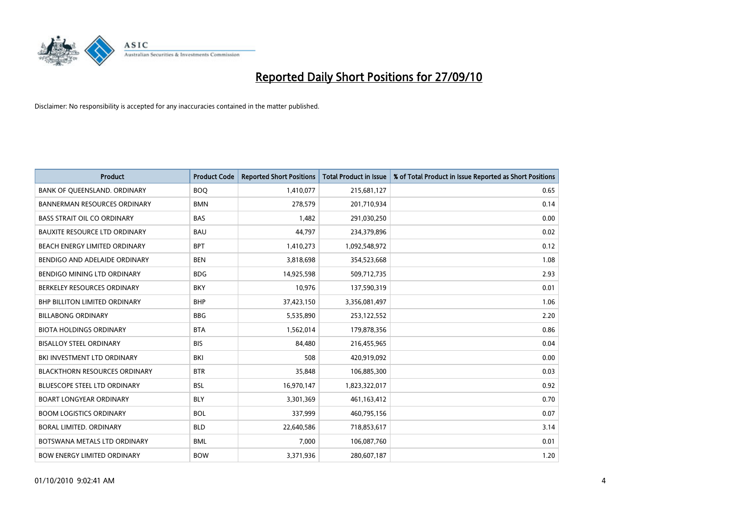

| <b>Product</b>                       | <b>Product Code</b> | <b>Reported Short Positions</b> | <b>Total Product in Issue</b> | % of Total Product in Issue Reported as Short Positions |
|--------------------------------------|---------------------|---------------------------------|-------------------------------|---------------------------------------------------------|
| BANK OF QUEENSLAND. ORDINARY         | <b>BOO</b>          | 1,410,077                       | 215,681,127                   | 0.65                                                    |
| <b>BANNERMAN RESOURCES ORDINARY</b>  | <b>BMN</b>          | 278,579                         | 201,710,934                   | 0.14                                                    |
| <b>BASS STRAIT OIL CO ORDINARY</b>   | <b>BAS</b>          | 1,482                           | 291,030,250                   | 0.00                                                    |
| <b>BAUXITE RESOURCE LTD ORDINARY</b> | <b>BAU</b>          | 44,797                          | 234,379,896                   | 0.02                                                    |
| BEACH ENERGY LIMITED ORDINARY        | <b>BPT</b>          | 1,410,273                       | 1,092,548,972                 | 0.12                                                    |
| BENDIGO AND ADELAIDE ORDINARY        | <b>BEN</b>          | 3,818,698                       | 354,523,668                   | 1.08                                                    |
| <b>BENDIGO MINING LTD ORDINARY</b>   | <b>BDG</b>          | 14,925,598                      | 509,712,735                   | 2.93                                                    |
| BERKELEY RESOURCES ORDINARY          | <b>BKY</b>          | 10,976                          | 137,590,319                   | 0.01                                                    |
| BHP BILLITON LIMITED ORDINARY        | <b>BHP</b>          | 37,423,150                      | 3,356,081,497                 | 1.06                                                    |
| <b>BILLABONG ORDINARY</b>            | <b>BBG</b>          | 5,535,890                       | 253,122,552                   | 2.20                                                    |
| <b>BIOTA HOLDINGS ORDINARY</b>       | <b>BTA</b>          | 1,562,014                       | 179,878,356                   | 0.86                                                    |
| <b>BISALLOY STEEL ORDINARY</b>       | <b>BIS</b>          | 84,480                          | 216,455,965                   | 0.04                                                    |
| BKI INVESTMENT LTD ORDINARY          | BKI                 | 508                             | 420,919,092                   | 0.00                                                    |
| <b>BLACKTHORN RESOURCES ORDINARY</b> | <b>BTR</b>          | 35,848                          | 106,885,300                   | 0.03                                                    |
| <b>BLUESCOPE STEEL LTD ORDINARY</b>  | <b>BSL</b>          | 16,970,147                      | 1,823,322,017                 | 0.92                                                    |
| <b>BOART LONGYEAR ORDINARY</b>       | <b>BLY</b>          | 3,301,369                       | 461,163,412                   | 0.70                                                    |
| <b>BOOM LOGISTICS ORDINARY</b>       | <b>BOL</b>          | 337,999                         | 460,795,156                   | 0.07                                                    |
| BORAL LIMITED, ORDINARY              | <b>BLD</b>          | 22,640,586                      | 718,853,617                   | 3.14                                                    |
| BOTSWANA METALS LTD ORDINARY         | <b>BML</b>          | 7.000                           | 106,087,760                   | 0.01                                                    |
| <b>BOW ENERGY LIMITED ORDINARY</b>   | <b>BOW</b>          | 3,371,936                       | 280,607,187                   | 1.20                                                    |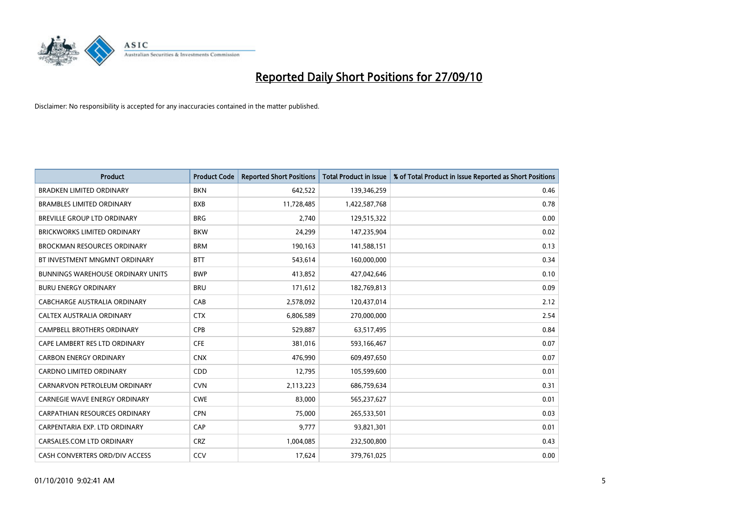

| <b>Product</b>                           | <b>Product Code</b> | <b>Reported Short Positions</b> | <b>Total Product in Issue</b> | % of Total Product in Issue Reported as Short Positions |
|------------------------------------------|---------------------|---------------------------------|-------------------------------|---------------------------------------------------------|
| <b>BRADKEN LIMITED ORDINARY</b>          | <b>BKN</b>          | 642,522                         | 139,346,259                   | 0.46                                                    |
| <b>BRAMBLES LIMITED ORDINARY</b>         | <b>BXB</b>          | 11,728,485                      | 1,422,587,768                 | 0.78                                                    |
| <b>BREVILLE GROUP LTD ORDINARY</b>       | <b>BRG</b>          | 2.740                           | 129,515,322                   | 0.00                                                    |
| <b>BRICKWORKS LIMITED ORDINARY</b>       | <b>BKW</b>          | 24,299                          | 147,235,904                   | 0.02                                                    |
| <b>BROCKMAN RESOURCES ORDINARY</b>       | <b>BRM</b>          | 190,163                         | 141,588,151                   | 0.13                                                    |
| BT INVESTMENT MNGMNT ORDINARY            | <b>BTT</b>          | 543,614                         | 160,000,000                   | 0.34                                                    |
| <b>BUNNINGS WAREHOUSE ORDINARY UNITS</b> | <b>BWP</b>          | 413,852                         | 427,042,646                   | 0.10                                                    |
| <b>BURU ENERGY ORDINARY</b>              | <b>BRU</b>          | 171,612                         | 182,769,813                   | 0.09                                                    |
| <b>CABCHARGE AUSTRALIA ORDINARY</b>      | CAB                 | 2,578,092                       | 120,437,014                   | 2.12                                                    |
| CALTEX AUSTRALIA ORDINARY                | <b>CTX</b>          | 6,806,589                       | 270,000,000                   | 2.54                                                    |
| CAMPBELL BROTHERS ORDINARY               | <b>CPB</b>          | 529,887                         | 63,517,495                    | 0.84                                                    |
| CAPE LAMBERT RES LTD ORDINARY            | <b>CFE</b>          | 381,016                         | 593,166,467                   | 0.07                                                    |
| <b>CARBON ENERGY ORDINARY</b>            | <b>CNX</b>          | 476,990                         | 609,497,650                   | 0.07                                                    |
| <b>CARDNO LIMITED ORDINARY</b>           | CDD                 | 12,795                          | 105,599,600                   | 0.01                                                    |
| CARNARVON PETROLEUM ORDINARY             | <b>CVN</b>          | 2,113,223                       | 686,759,634                   | 0.31                                                    |
| <b>CARNEGIE WAVE ENERGY ORDINARY</b>     | <b>CWE</b>          | 83,000                          | 565,237,627                   | 0.01                                                    |
| CARPATHIAN RESOURCES ORDINARY            | <b>CPN</b>          | 75,000                          | 265,533,501                   | 0.03                                                    |
| CARPENTARIA EXP. LTD ORDINARY            | CAP                 | 9,777                           | 93,821,301                    | 0.01                                                    |
| CARSALES.COM LTD ORDINARY                | <b>CRZ</b>          | 1,004,085                       | 232,500,800                   | 0.43                                                    |
| CASH CONVERTERS ORD/DIV ACCESS           | CCV                 | 17,624                          | 379,761,025                   | 0.00                                                    |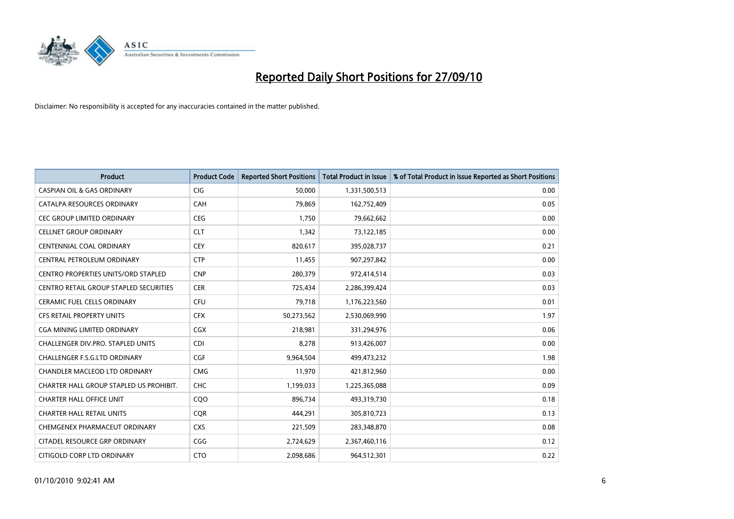

| <b>Product</b>                                | <b>Product Code</b> | <b>Reported Short Positions</b> | Total Product in Issue | % of Total Product in Issue Reported as Short Positions |
|-----------------------------------------------|---------------------|---------------------------------|------------------------|---------------------------------------------------------|
| <b>CASPIAN OIL &amp; GAS ORDINARY</b>         | <b>CIG</b>          | 50,000                          | 1,331,500,513          | 0.00                                                    |
| CATALPA RESOURCES ORDINARY                    | CAH                 | 79.869                          | 162,752,409            | 0.05                                                    |
| <b>CEC GROUP LIMITED ORDINARY</b>             | <b>CEG</b>          | 1,750                           | 79,662,662             | 0.00                                                    |
| <b>CELLNET GROUP ORDINARY</b>                 | <b>CLT</b>          | 1,342                           | 73,122,185             | 0.00                                                    |
| <b>CENTENNIAL COAL ORDINARY</b>               | <b>CEY</b>          | 820,617                         | 395,028,737            | 0.21                                                    |
| CENTRAL PETROLEUM ORDINARY                    | <b>CTP</b>          | 11,455                          | 907,297,842            | 0.00                                                    |
| <b>CENTRO PROPERTIES UNITS/ORD STAPLED</b>    | <b>CNP</b>          | 280,379                         | 972,414,514            | 0.03                                                    |
| <b>CENTRO RETAIL GROUP STAPLED SECURITIES</b> | <b>CER</b>          | 725,434                         | 2,286,399,424          | 0.03                                                    |
| CERAMIC FUEL CELLS ORDINARY                   | CFU                 | 79,718                          | 1,176,223,560          | 0.01                                                    |
| <b>CFS RETAIL PROPERTY UNITS</b>              | <b>CFX</b>          | 50,273,562                      | 2,530,069,990          | 1.97                                                    |
| CGA MINING LIMITED ORDINARY                   | <b>CGX</b>          | 218,981                         | 331,294,976            | 0.06                                                    |
| <b>CHALLENGER DIV.PRO. STAPLED UNITS</b>      | <b>CDI</b>          | 8,278                           | 913,426,007            | 0.00                                                    |
| <b>CHALLENGER F.S.G.LTD ORDINARY</b>          | CGF                 | 9,964,504                       | 499,473,232            | 1.98                                                    |
| <b>CHANDLER MACLEOD LTD ORDINARY</b>          | <b>CMG</b>          | 11,970                          | 421,812,960            | 0.00                                                    |
| CHARTER HALL GROUP STAPLED US PROHIBIT.       | <b>CHC</b>          | 1,199,033                       | 1,225,365,088          | 0.09                                                    |
| <b>CHARTER HALL OFFICE UNIT</b>               | COO                 | 896,734                         | 493,319,730            | 0.18                                                    |
| <b>CHARTER HALL RETAIL UNITS</b>              | <b>CQR</b>          | 444,291                         | 305,810,723            | 0.13                                                    |
| CHEMGENEX PHARMACEUT ORDINARY                 | <b>CXS</b>          | 221,509                         | 283,348,870            | 0.08                                                    |
| CITADEL RESOURCE GRP ORDINARY                 | CGG                 | 2,724,629                       | 2,367,460,116          | 0.12                                                    |
| CITIGOLD CORP LTD ORDINARY                    | <b>CTO</b>          | 2.098.686                       | 964,512,301            | 0.22                                                    |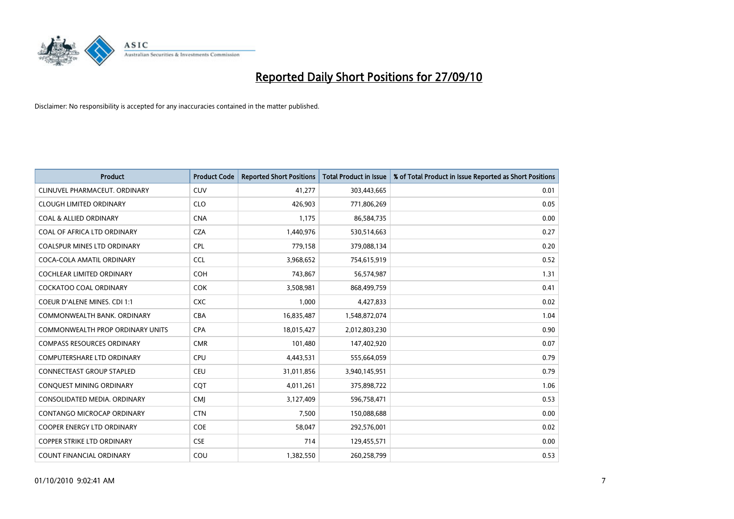

| <b>Product</b>                      | <b>Product Code</b> | <b>Reported Short Positions</b> | <b>Total Product in Issue</b> | % of Total Product in Issue Reported as Short Positions |
|-------------------------------------|---------------------|---------------------------------|-------------------------------|---------------------------------------------------------|
| CLINUVEL PHARMACEUT, ORDINARY       | CUV                 | 41,277                          | 303,443,665                   | 0.01                                                    |
| <b>CLOUGH LIMITED ORDINARY</b>      | <b>CLO</b>          | 426,903                         | 771,806,269                   | 0.05                                                    |
| <b>COAL &amp; ALLIED ORDINARY</b>   | <b>CNA</b>          | 1,175                           | 86,584,735                    | 0.00                                                    |
| COAL OF AFRICA LTD ORDINARY         | <b>CZA</b>          | 1,440,976                       | 530,514,663                   | 0.27                                                    |
| <b>COALSPUR MINES LTD ORDINARY</b>  | <b>CPL</b>          | 779,158                         | 379,088,134                   | 0.20                                                    |
| COCA-COLA AMATIL ORDINARY           | <b>CCL</b>          | 3,968,652                       | 754,615,919                   | 0.52                                                    |
| <b>COCHLEAR LIMITED ORDINARY</b>    | <b>COH</b>          | 743,867                         | 56,574,987                    | 1.31                                                    |
| COCKATOO COAL ORDINARY              | <b>COK</b>          | 3,508,981                       | 868,499,759                   | 0.41                                                    |
| <b>COEUR D'ALENE MINES. CDI 1:1</b> | <b>CXC</b>          | 1.000                           | 4,427,833                     | 0.02                                                    |
| COMMONWEALTH BANK, ORDINARY         | <b>CBA</b>          | 16,835,487                      | 1,548,872,074                 | 1.04                                                    |
| COMMONWEALTH PROP ORDINARY UNITS    | <b>CPA</b>          | 18,015,427                      | 2,012,803,230                 | 0.90                                                    |
| <b>COMPASS RESOURCES ORDINARY</b>   | <b>CMR</b>          | 101,480                         | 147,402,920                   | 0.07                                                    |
| COMPUTERSHARE LTD ORDINARY          | <b>CPU</b>          | 4,443,531                       | 555,664,059                   | 0.79                                                    |
| CONNECTEAST GROUP STAPLED           | <b>CEU</b>          | 31,011,856                      | 3,940,145,951                 | 0.79                                                    |
| CONQUEST MINING ORDINARY            | CQT                 | 4,011,261                       | 375,898,722                   | 1.06                                                    |
| CONSOLIDATED MEDIA, ORDINARY        | <b>CMI</b>          | 3,127,409                       | 596,758,471                   | 0.53                                                    |
| CONTANGO MICROCAP ORDINARY          | <b>CTN</b>          | 7,500                           | 150,088,688                   | 0.00                                                    |
| COOPER ENERGY LTD ORDINARY          | <b>COE</b>          | 58,047                          | 292,576,001                   | 0.02                                                    |
| <b>COPPER STRIKE LTD ORDINARY</b>   | <b>CSE</b>          | 714                             | 129,455,571                   | 0.00                                                    |
| COUNT FINANCIAL ORDINARY            | COU                 | 1,382,550                       | 260,258,799                   | 0.53                                                    |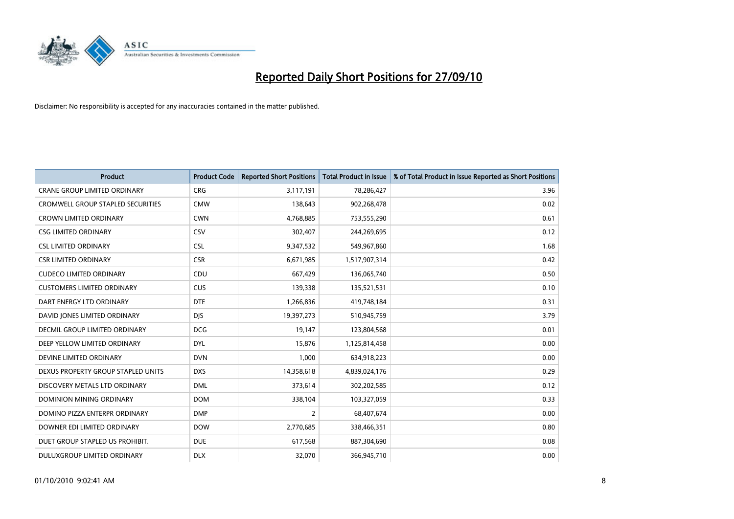

| <b>Product</b>                      | <b>Product Code</b> | <b>Reported Short Positions</b> | <b>Total Product in Issue</b> | % of Total Product in Issue Reported as Short Positions |
|-------------------------------------|---------------------|---------------------------------|-------------------------------|---------------------------------------------------------|
| <b>CRANE GROUP LIMITED ORDINARY</b> | <b>CRG</b>          | 3,117,191                       | 78,286,427                    | 3.96                                                    |
| CROMWELL GROUP STAPLED SECURITIES   | <b>CMW</b>          | 138,643                         | 902,268,478                   | 0.02                                                    |
| <b>CROWN LIMITED ORDINARY</b>       | <b>CWN</b>          | 4,768,885                       | 753,555,290                   | 0.61                                                    |
| <b>CSG LIMITED ORDINARY</b>         | CSV                 | 302,407                         | 244,269,695                   | 0.12                                                    |
| <b>CSL LIMITED ORDINARY</b>         | <b>CSL</b>          | 9,347,532                       | 549,967,860                   | 1.68                                                    |
| <b>CSR LIMITED ORDINARY</b>         | <b>CSR</b>          | 6,671,985                       | 1,517,907,314                 | 0.42                                                    |
| <b>CUDECO LIMITED ORDINARY</b>      | CDU                 | 667,429                         | 136,065,740                   | 0.50                                                    |
| <b>CUSTOMERS LIMITED ORDINARY</b>   | CUS                 | 139,338                         | 135,521,531                   | 0.10                                                    |
| DART ENERGY LTD ORDINARY            | <b>DTE</b>          | 1,266,836                       | 419,748,184                   | 0.31                                                    |
| DAVID JONES LIMITED ORDINARY        | <b>DIS</b>          | 19,397,273                      | 510,945,759                   | 3.79                                                    |
| DECMIL GROUP LIMITED ORDINARY       | <b>DCG</b>          | 19,147                          | 123,804,568                   | 0.01                                                    |
| DEEP YELLOW LIMITED ORDINARY        | <b>DYL</b>          | 15,876                          | 1,125,814,458                 | 0.00                                                    |
| DEVINE LIMITED ORDINARY             | <b>DVN</b>          | 1,000                           | 634,918,223                   | 0.00                                                    |
| DEXUS PROPERTY GROUP STAPLED UNITS  | <b>DXS</b>          | 14,358,618                      | 4,839,024,176                 | 0.29                                                    |
| DISCOVERY METALS LTD ORDINARY       | <b>DML</b>          | 373,614                         | 302,202,585                   | 0.12                                                    |
| DOMINION MINING ORDINARY            | <b>DOM</b>          | 338,104                         | 103,327,059                   | 0.33                                                    |
| DOMINO PIZZA ENTERPR ORDINARY       | <b>DMP</b>          | $\overline{2}$                  | 68,407,674                    | 0.00                                                    |
| DOWNER EDI LIMITED ORDINARY         | <b>DOW</b>          | 2,770,685                       | 338,466,351                   | 0.80                                                    |
| DUET GROUP STAPLED US PROHIBIT.     | <b>DUE</b>          | 617,568                         | 887,304,690                   | 0.08                                                    |
| DULUXGROUP LIMITED ORDINARY         | <b>DLX</b>          | 32,070                          | 366,945,710                   | 0.00                                                    |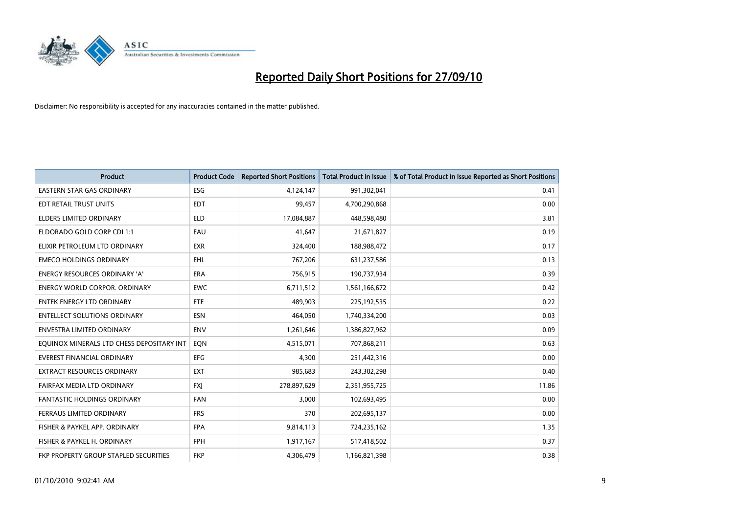

| <b>Product</b>                            | <b>Product Code</b> | <b>Reported Short Positions</b> | <b>Total Product in Issue</b> | % of Total Product in Issue Reported as Short Positions |
|-------------------------------------------|---------------------|---------------------------------|-------------------------------|---------------------------------------------------------|
| <b>EASTERN STAR GAS ORDINARY</b>          | ESG                 | 4,124,147                       | 991,302,041                   | 0.41                                                    |
| EDT RETAIL TRUST UNITS                    | <b>EDT</b>          | 99,457                          | 4,700,290,868                 | 0.00                                                    |
| <b>ELDERS LIMITED ORDINARY</b>            | <b>ELD</b>          | 17,084,887                      | 448,598,480                   | 3.81                                                    |
| ELDORADO GOLD CORP CDI 1:1                | EAU                 | 41,647                          | 21,671,827                    | 0.19                                                    |
| ELIXIR PETROLEUM LTD ORDINARY             | <b>EXR</b>          | 324,400                         | 188,988,472                   | 0.17                                                    |
| <b>EMECO HOLDINGS ORDINARY</b>            | <b>EHL</b>          | 767,206                         | 631,237,586                   | 0.13                                                    |
| ENERGY RESOURCES ORDINARY 'A'             | <b>ERA</b>          | 756,915                         | 190,737,934                   | 0.39                                                    |
| ENERGY WORLD CORPOR. ORDINARY             | <b>EWC</b>          | 6,711,512                       | 1,561,166,672                 | 0.42                                                    |
| ENTEK ENERGY LTD ORDINARY                 | <b>ETE</b>          | 489,903                         | 225,192,535                   | 0.22                                                    |
| <b>ENTELLECT SOLUTIONS ORDINARY</b>       | <b>ESN</b>          | 464,050                         | 1,740,334,200                 | 0.03                                                    |
| ENVESTRA LIMITED ORDINARY                 | <b>ENV</b>          | 1,261,646                       | 1,386,827,962                 | 0.09                                                    |
| EQUINOX MINERALS LTD CHESS DEPOSITARY INT | EON                 | 4,515,071                       | 707,868,211                   | 0.63                                                    |
| <b>EVEREST FINANCIAL ORDINARY</b>         | <b>EFG</b>          | 4,300                           | 251,442,316                   | 0.00                                                    |
| <b>EXTRACT RESOURCES ORDINARY</b>         | <b>EXT</b>          | 985,683                         | 243,302,298                   | 0.40                                                    |
| FAIRFAX MEDIA LTD ORDINARY                | <b>FXI</b>          | 278,897,629                     | 2,351,955,725                 | 11.86                                                   |
| <b>FANTASTIC HOLDINGS ORDINARY</b>        | <b>FAN</b>          | 3.000                           | 102,693,495                   | 0.00                                                    |
| FERRAUS LIMITED ORDINARY                  | <b>FRS</b>          | 370                             | 202,695,137                   | 0.00                                                    |
| FISHER & PAYKEL APP. ORDINARY             | <b>FPA</b>          | 9,814,113                       | 724,235,162                   | 1.35                                                    |
| FISHER & PAYKEL H. ORDINARY               | <b>FPH</b>          | 1,917,167                       | 517,418,502                   | 0.37                                                    |
| FKP PROPERTY GROUP STAPLED SECURITIES     | <b>FKP</b>          | 4,306,479                       | 1,166,821,398                 | 0.38                                                    |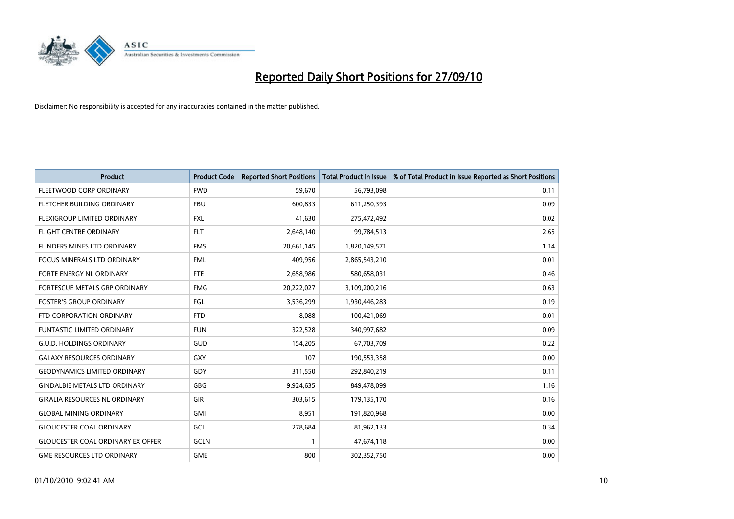

| <b>Product</b>                           | <b>Product Code</b> | <b>Reported Short Positions</b> | <b>Total Product in Issue</b> | % of Total Product in Issue Reported as Short Positions |
|------------------------------------------|---------------------|---------------------------------|-------------------------------|---------------------------------------------------------|
| FLEETWOOD CORP ORDINARY                  | <b>FWD</b>          | 59,670                          | 56,793,098                    | 0.11                                                    |
| FLETCHER BUILDING ORDINARY               | <b>FBU</b>          | 600,833                         | 611,250,393                   | 0.09                                                    |
| FLEXIGROUP LIMITED ORDINARY              | <b>FXL</b>          | 41,630                          | 275,472,492                   | 0.02                                                    |
| <b>FLIGHT CENTRE ORDINARY</b>            | <b>FLT</b>          | 2,648,140                       | 99,784,513                    | 2.65                                                    |
| FLINDERS MINES LTD ORDINARY              | <b>FMS</b>          | 20,661,145                      | 1,820,149,571                 | 1.14                                                    |
| <b>FOCUS MINERALS LTD ORDINARY</b>       | <b>FML</b>          | 409,956                         | 2,865,543,210                 | 0.01                                                    |
| <b>FORTE ENERGY NL ORDINARY</b>          | <b>FTE</b>          | 2,658,986                       | 580,658,031                   | 0.46                                                    |
| FORTESCUE METALS GRP ORDINARY            | <b>FMG</b>          | 20,222,027                      | 3,109,200,216                 | 0.63                                                    |
| <b>FOSTER'S GROUP ORDINARY</b>           | FGL                 | 3,536,299                       | 1,930,446,283                 | 0.19                                                    |
| FTD CORPORATION ORDINARY                 | <b>FTD</b>          | 8,088                           | 100,421,069                   | 0.01                                                    |
| FUNTASTIC LIMITED ORDINARY               | <b>FUN</b>          | 322,528                         | 340,997,682                   | 0.09                                                    |
| <b>G.U.D. HOLDINGS ORDINARY</b>          | <b>GUD</b>          | 154,205                         | 67,703,709                    | 0.22                                                    |
| <b>GALAXY RESOURCES ORDINARY</b>         | GXY                 | 107                             | 190,553,358                   | 0.00                                                    |
| <b>GEODYNAMICS LIMITED ORDINARY</b>      | GDY                 | 311,550                         | 292,840,219                   | 0.11                                                    |
| <b>GINDALBIE METALS LTD ORDINARY</b>     | <b>GBG</b>          | 9,924,635                       | 849,478,099                   | 1.16                                                    |
| <b>GIRALIA RESOURCES NL ORDINARY</b>     | GIR                 | 303,615                         | 179,135,170                   | 0.16                                                    |
| <b>GLOBAL MINING ORDINARY</b>            | <b>GMI</b>          | 8,951                           | 191,820,968                   | 0.00                                                    |
| <b>GLOUCESTER COAL ORDINARY</b>          | GCL                 | 278,684                         | 81,962,133                    | 0.34                                                    |
| <b>GLOUCESTER COAL ORDINARY EX OFFER</b> | GCLN                |                                 | 47,674,118                    | 0.00                                                    |
| <b>GME RESOURCES LTD ORDINARY</b>        | <b>GME</b>          | 800                             | 302,352,750                   | 0.00                                                    |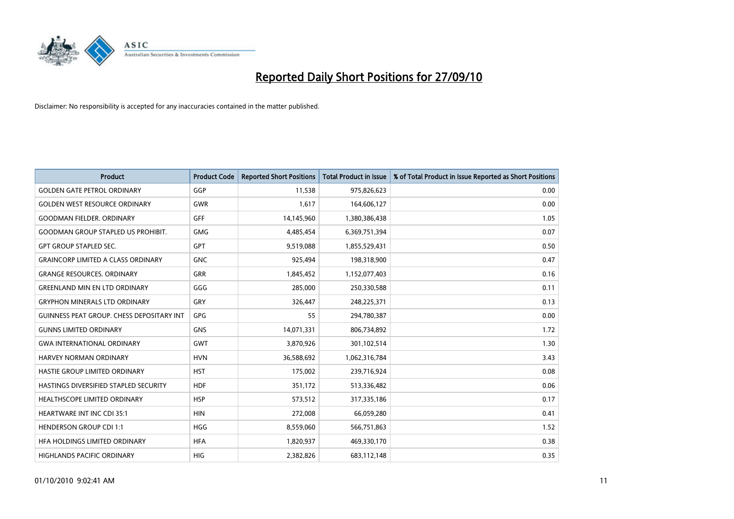

| <b>Product</b>                                   | <b>Product Code</b> | <b>Reported Short Positions</b> | Total Product in Issue | % of Total Product in Issue Reported as Short Positions |
|--------------------------------------------------|---------------------|---------------------------------|------------------------|---------------------------------------------------------|
| <b>GOLDEN GATE PETROL ORDINARY</b>               | GGP                 | 11,538                          | 975,826,623            | 0.00                                                    |
| <b>GOLDEN WEST RESOURCE ORDINARY</b>             | <b>GWR</b>          | 1,617                           | 164,606,127            | 0.00                                                    |
| <b>GOODMAN FIELDER, ORDINARY</b>                 | <b>GFF</b>          | 14,145,960                      | 1,380,386,438          | 1.05                                                    |
| <b>GOODMAN GROUP STAPLED US PROHIBIT.</b>        | <b>GMG</b>          | 4,485,454                       | 6,369,751,394          | 0.07                                                    |
| <b>GPT GROUP STAPLED SEC.</b>                    | <b>GPT</b>          | 9,519,088                       | 1,855,529,431          | 0.50                                                    |
| <b>GRAINCORP LIMITED A CLASS ORDINARY</b>        | <b>GNC</b>          | 925,494                         | 198,318,900            | 0.47                                                    |
| <b>GRANGE RESOURCES, ORDINARY</b>                | <b>GRR</b>          | 1,845,452                       | 1,152,077,403          | 0.16                                                    |
| <b>GREENLAND MIN EN LTD ORDINARY</b>             | GGG                 | 285,000                         | 250,330,588            | 0.11                                                    |
| <b>GRYPHON MINERALS LTD ORDINARY</b>             | GRY                 | 326,447                         | 248,225,371            | 0.13                                                    |
| <b>GUINNESS PEAT GROUP. CHESS DEPOSITARY INT</b> | GPG                 | 55                              | 294,780,387            | 0.00                                                    |
| <b>GUNNS LIMITED ORDINARY</b>                    | <b>GNS</b>          | 14,071,331                      | 806,734,892            | 1.72                                                    |
| <b>GWA INTERNATIONAL ORDINARY</b>                | <b>GWT</b>          | 3,870,926                       | 301,102,514            | 1.30                                                    |
| <b>HARVEY NORMAN ORDINARY</b>                    | <b>HVN</b>          | 36,588,692                      | 1,062,316,784          | 3.43                                                    |
| HASTIE GROUP LIMITED ORDINARY                    | <b>HST</b>          | 175,002                         | 239,716,924            | 0.08                                                    |
| HASTINGS DIVERSIFIED STAPLED SECURITY            | <b>HDF</b>          | 351,172                         | 513,336,482            | 0.06                                                    |
| HEALTHSCOPE LIMITED ORDINARY                     | <b>HSP</b>          | 573,512                         | 317,335,186            | 0.17                                                    |
| <b>HEARTWARE INT INC CDI 35:1</b>                | <b>HIN</b>          | 272,008                         | 66,059,280             | 0.41                                                    |
| <b>HENDERSON GROUP CDI 1:1</b>                   | <b>HGG</b>          | 8,559,060                       | 566,751,863            | 1.52                                                    |
| HFA HOLDINGS LIMITED ORDINARY                    | <b>HFA</b>          | 1,820,937                       | 469,330,170            | 0.38                                                    |
| <b>HIGHLANDS PACIFIC ORDINARY</b>                | <b>HIG</b>          | 2.382.826                       | 683,112,148            | 0.35                                                    |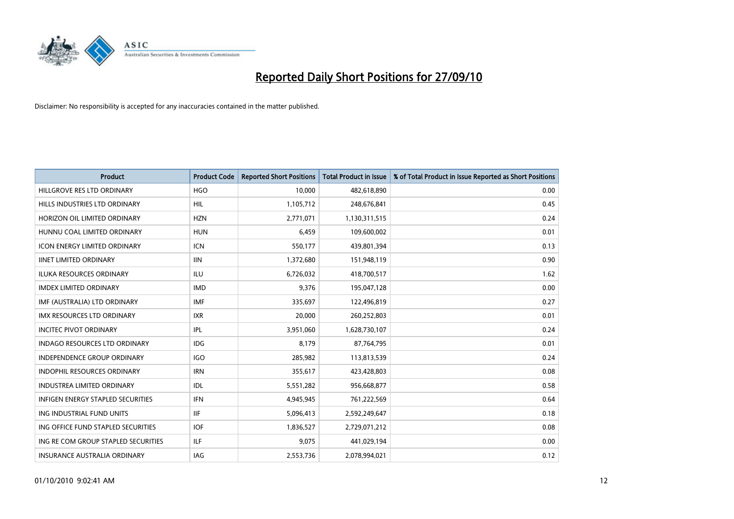

| <b>Product</b>                       | <b>Product Code</b> | <b>Reported Short Positions</b> | Total Product in Issue | % of Total Product in Issue Reported as Short Positions |
|--------------------------------------|---------------------|---------------------------------|------------------------|---------------------------------------------------------|
| HILLGROVE RES LTD ORDINARY           | <b>HGO</b>          | 10,000                          | 482,618,890            | 0.00                                                    |
| HILLS INDUSTRIES LTD ORDINARY        | <b>HIL</b>          | 1,105,712                       | 248,676,841            | 0.45                                                    |
| HORIZON OIL LIMITED ORDINARY         | <b>HZN</b>          | 2,771,071                       | 1,130,311,515          | 0.24                                                    |
| HUNNU COAL LIMITED ORDINARY          | <b>HUN</b>          | 6,459                           | 109,600,002            | 0.01                                                    |
| <b>ICON ENERGY LIMITED ORDINARY</b>  | <b>ICN</b>          | 550,177                         | 439,801,394            | 0.13                                                    |
| <b>IINET LIMITED ORDINARY</b>        | <b>IIN</b>          | 1,372,680                       | 151,948,119            | 0.90                                                    |
| <b>ILUKA RESOURCES ORDINARY</b>      | <b>ILU</b>          | 6,726,032                       | 418,700,517            | 1.62                                                    |
| <b>IMDEX LIMITED ORDINARY</b>        | <b>IMD</b>          | 9,376                           | 195,047,128            | 0.00                                                    |
| IMF (AUSTRALIA) LTD ORDINARY         | <b>IMF</b>          | 335,697                         | 122,496,819            | 0.27                                                    |
| <b>IMX RESOURCES LTD ORDINARY</b>    | <b>IXR</b>          | 20,000                          | 260,252,803            | 0.01                                                    |
| <b>INCITEC PIVOT ORDINARY</b>        | IPL                 | 3,951,060                       | 1,628,730,107          | 0.24                                                    |
| <b>INDAGO RESOURCES LTD ORDINARY</b> | <b>IDG</b>          | 8,179                           | 87,764,795             | 0.01                                                    |
| INDEPENDENCE GROUP ORDINARY          | <b>IGO</b>          | 285,982                         | 113,813,539            | 0.24                                                    |
| INDOPHIL RESOURCES ORDINARY          | <b>IRN</b>          | 355,617                         | 423,428,803            | 0.08                                                    |
| <b>INDUSTREA LIMITED ORDINARY</b>    | IDL                 | 5,551,282                       | 956,668,877            | 0.58                                                    |
| INFIGEN ENERGY STAPLED SECURITIES    | <b>IFN</b>          | 4,945,945                       | 761,222,569            | 0.64                                                    |
| ING INDUSTRIAL FUND UNITS            | <b>IIF</b>          | 5,096,413                       | 2,592,249,647          | 0.18                                                    |
| ING OFFICE FUND STAPLED SECURITIES   | <b>IOF</b>          | 1,836,527                       | 2,729,071,212          | 0.08                                                    |
| ING RE COM GROUP STAPLED SECURITIES  | <b>ILF</b>          | 9,075                           | 441,029,194            | 0.00                                                    |
| <b>INSURANCE AUSTRALIA ORDINARY</b>  | <b>IAG</b>          | 2,553,736                       | 2,078,994,021          | 0.12                                                    |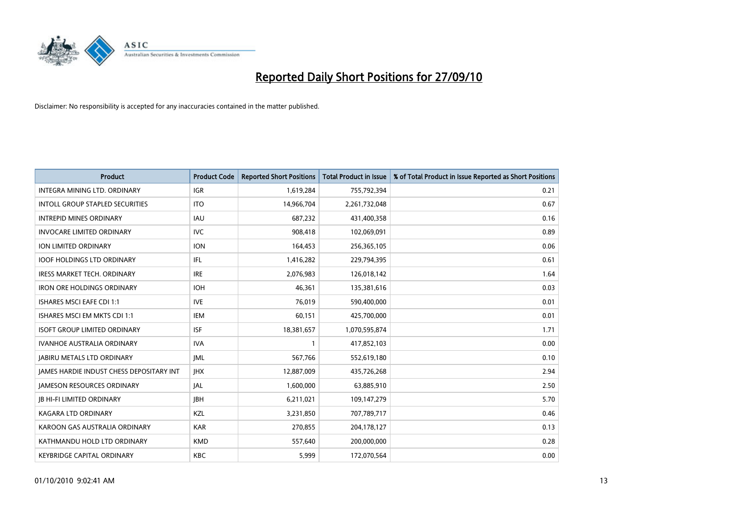

| <b>Product</b>                                  | <b>Product Code</b> | <b>Reported Short Positions</b> | Total Product in Issue | % of Total Product in Issue Reported as Short Positions |
|-------------------------------------------------|---------------------|---------------------------------|------------------------|---------------------------------------------------------|
| <b>INTEGRA MINING LTD, ORDINARY</b>             | <b>IGR</b>          | 1,619,284                       | 755,792,394            | 0.21                                                    |
| INTOLL GROUP STAPLED SECURITIES                 | <b>ITO</b>          | 14,966,704                      | 2,261,732,048          | 0.67                                                    |
| <b>INTREPID MINES ORDINARY</b>                  | <b>IAU</b>          | 687,232                         | 431,400,358            | 0.16                                                    |
| <b>INVOCARE LIMITED ORDINARY</b>                | <b>IVC</b>          | 908,418                         | 102,069,091            | 0.89                                                    |
| <b>ION LIMITED ORDINARY</b>                     | <b>ION</b>          | 164,453                         | 256,365,105            | 0.06                                                    |
| <b>IOOF HOLDINGS LTD ORDINARY</b>               | IFL.                | 1,416,282                       | 229,794,395            | 0.61                                                    |
| <b>IRESS MARKET TECH. ORDINARY</b>              | <b>IRE</b>          | 2,076,983                       | 126,018,142            | 1.64                                                    |
| <b>IRON ORE HOLDINGS ORDINARY</b>               | <b>IOH</b>          | 46,361                          | 135,381,616            | 0.03                                                    |
| ISHARES MSCI EAFE CDI 1:1                       | <b>IVE</b>          | 76,019                          | 590,400,000            | 0.01                                                    |
| ISHARES MSCI EM MKTS CDI 1:1                    | <b>IEM</b>          | 60,151                          | 425,700,000            | 0.01                                                    |
| <b>ISOFT GROUP LIMITED ORDINARY</b>             | <b>ISF</b>          | 18,381,657                      | 1,070,595,874          | 1.71                                                    |
| <b>IVANHOE AUSTRALIA ORDINARY</b>               | <b>IVA</b>          |                                 | 417,852,103            | 0.00                                                    |
| <b>JABIRU METALS LTD ORDINARY</b>               | <b>JML</b>          | 567,766                         | 552,619,180            | 0.10                                                    |
| <b>IAMES HARDIE INDUST CHESS DEPOSITARY INT</b> | <b>IHX</b>          | 12,887,009                      | 435,726,268            | 2.94                                                    |
| <b>JAMESON RESOURCES ORDINARY</b>               | JAL                 | 1,600,000                       | 63,885,910             | 2.50                                                    |
| <b>JB HI-FI LIMITED ORDINARY</b>                | <b>IBH</b>          | 6,211,021                       | 109,147,279            | 5.70                                                    |
| <b>KAGARA LTD ORDINARY</b>                      | KZL                 | 3,231,850                       | 707,789,717            | 0.46                                                    |
| KAROON GAS AUSTRALIA ORDINARY                   | <b>KAR</b>          | 270,855                         | 204,178,127            | 0.13                                                    |
| KATHMANDU HOLD LTD ORDINARY                     | <b>KMD</b>          | 557,640                         | 200,000,000            | 0.28                                                    |
| <b>KEYBRIDGE CAPITAL ORDINARY</b>               | <b>KBC</b>          | 5,999                           | 172,070,564            | 0.00                                                    |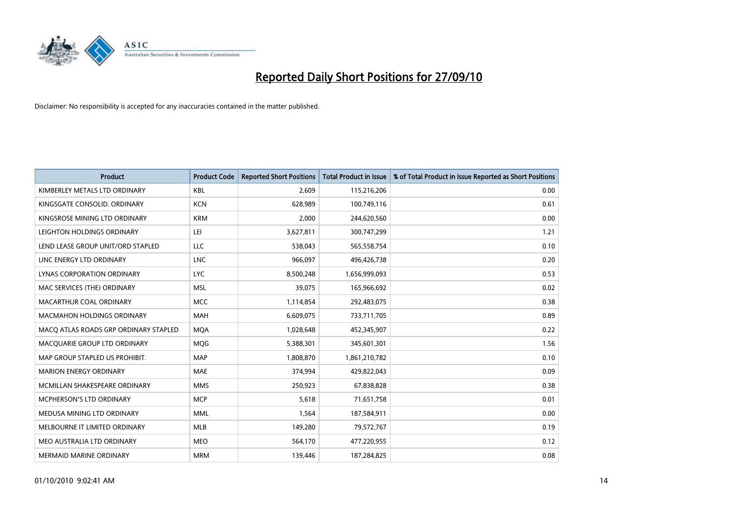

| <b>Product</b>                        | <b>Product Code</b> | <b>Reported Short Positions</b> | <b>Total Product in Issue</b> | % of Total Product in Issue Reported as Short Positions |
|---------------------------------------|---------------------|---------------------------------|-------------------------------|---------------------------------------------------------|
| KIMBERLEY METALS LTD ORDINARY         | <b>KBL</b>          | 2,609                           | 115,216,206                   | 0.00                                                    |
| KINGSGATE CONSOLID. ORDINARY          | <b>KCN</b>          | 628,989                         | 100,749,116                   | 0.61                                                    |
| KINGSROSE MINING LTD ORDINARY         | <b>KRM</b>          | 2,000                           | 244,620,560                   | 0.00                                                    |
| LEIGHTON HOLDINGS ORDINARY            | LEI                 | 3,627,811                       | 300,747,299                   | 1.21                                                    |
| LEND LEASE GROUP UNIT/ORD STAPLED     | LLC                 | 538,043                         | 565,558,754                   | 0.10                                                    |
| LINC ENERGY LTD ORDINARY              | <b>LNC</b>          | 966,097                         | 496,426,738                   | 0.20                                                    |
| LYNAS CORPORATION ORDINARY            | <b>LYC</b>          | 8,500,248                       | 1,656,999,093                 | 0.53                                                    |
| MAC SERVICES (THE) ORDINARY           | <b>MSL</b>          | 39,075                          | 165,966,692                   | 0.02                                                    |
| MACARTHUR COAL ORDINARY               | <b>MCC</b>          | 1,114,854                       | 292,483,075                   | 0.38                                                    |
| <b>MACMAHON HOLDINGS ORDINARY</b>     | <b>MAH</b>          | 6,609,075                       | 733,711,705                   | 0.89                                                    |
| MACO ATLAS ROADS GRP ORDINARY STAPLED | <b>MOA</b>          | 1,028,648                       | 452,345,907                   | 0.22                                                    |
| MACQUARIE GROUP LTD ORDINARY          | MQG                 | 5,388,301                       | 345,601,301                   | 1.56                                                    |
| MAP GROUP STAPLED US PROHIBIT.        | <b>MAP</b>          | 1,808,870                       | 1,861,210,782                 | 0.10                                                    |
| <b>MARION ENERGY ORDINARY</b>         | <b>MAE</b>          | 374,994                         | 429,822,043                   | 0.09                                                    |
| MCMILLAN SHAKESPEARE ORDINARY         | <b>MMS</b>          | 250,923                         | 67,838,828                    | 0.38                                                    |
| MCPHERSON'S LTD ORDINARY              | <b>MCP</b>          | 5,618                           | 71,651,758                    | 0.01                                                    |
| MEDUSA MINING LTD ORDINARY            | <b>MML</b>          | 1,564                           | 187,584,911                   | 0.00                                                    |
| MELBOURNE IT LIMITED ORDINARY         | MLB                 | 149,280                         | 79,572,767                    | 0.19                                                    |
| MEO AUSTRALIA LTD ORDINARY            | <b>MEO</b>          | 564,170                         | 477,220,955                   | 0.12                                                    |
| MERMAID MARINE ORDINARY               | <b>MRM</b>          | 139,446                         | 187,284,825                   | 0.08                                                    |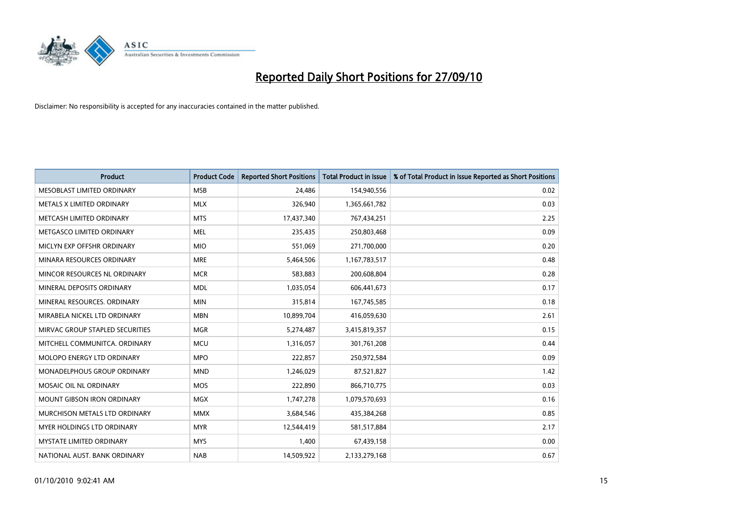

| <b>Product</b>                     | <b>Product Code</b> | <b>Reported Short Positions</b> | <b>Total Product in Issue</b> | % of Total Product in Issue Reported as Short Positions |
|------------------------------------|---------------------|---------------------------------|-------------------------------|---------------------------------------------------------|
| MESOBLAST LIMITED ORDINARY         | <b>MSB</b>          | 24,486                          | 154,940,556                   | 0.02                                                    |
| METALS X LIMITED ORDINARY          | <b>MLX</b>          | 326,940                         | 1,365,661,782                 | 0.03                                                    |
| METCASH LIMITED ORDINARY           | <b>MTS</b>          | 17,437,340                      | 767,434,251                   | 2.25                                                    |
| METGASCO LIMITED ORDINARY          | <b>MEL</b>          | 235,435                         | 250,803,468                   | 0.09                                                    |
| MICLYN EXP OFFSHR ORDINARY         | <b>MIO</b>          | 551,069                         | 271,700,000                   | 0.20                                                    |
| MINARA RESOURCES ORDINARY          | <b>MRE</b>          | 5,464,506                       | 1,167,783,517                 | 0.48                                                    |
| MINCOR RESOURCES NL ORDINARY       | <b>MCR</b>          | 583,883                         | 200,608,804                   | 0.28                                                    |
| MINERAL DEPOSITS ORDINARY          | <b>MDL</b>          | 1,035,054                       | 606,441,673                   | 0.17                                                    |
| MINERAL RESOURCES, ORDINARY        | <b>MIN</b>          | 315,814                         | 167,745,585                   | 0.18                                                    |
| MIRABELA NICKEL LTD ORDINARY       | <b>MBN</b>          | 10,899,704                      | 416,059,630                   | 2.61                                                    |
| MIRVAC GROUP STAPLED SECURITIES    | <b>MGR</b>          | 5,274,487                       | 3,415,819,357                 | 0.15                                                    |
| MITCHELL COMMUNITCA, ORDINARY      | <b>MCU</b>          | 1,316,057                       | 301,761,208                   | 0.44                                                    |
| MOLOPO ENERGY LTD ORDINARY         | <b>MPO</b>          | 222,857                         | 250,972,584                   | 0.09                                                    |
| <b>MONADELPHOUS GROUP ORDINARY</b> | <b>MND</b>          | 1,246,029                       | 87,521,827                    | 1.42                                                    |
| MOSAIC OIL NL ORDINARY             | <b>MOS</b>          | 222,890                         | 866,710,775                   | 0.03                                                    |
| <b>MOUNT GIBSON IRON ORDINARY</b>  | <b>MGX</b>          | 1,747,278                       | 1,079,570,693                 | 0.16                                                    |
| MURCHISON METALS LTD ORDINARY      | <b>MMX</b>          | 3,684,546                       | 435,384,268                   | 0.85                                                    |
| MYER HOLDINGS LTD ORDINARY         | <b>MYR</b>          | 12,544,419                      | 581,517,884                   | 2.17                                                    |
| <b>MYSTATE LIMITED ORDINARY</b>    | <b>MYS</b>          | 1,400                           | 67,439,158                    | 0.00                                                    |
| NATIONAL AUST. BANK ORDINARY       | <b>NAB</b>          | 14,509,922                      | 2,133,279,168                 | 0.67                                                    |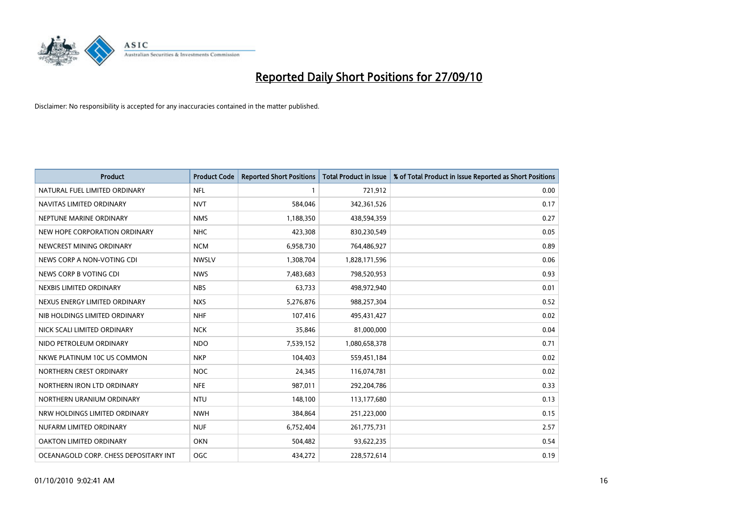

| <b>Product</b>                        | <b>Product Code</b> | <b>Reported Short Positions</b> | <b>Total Product in Issue</b> | % of Total Product in Issue Reported as Short Positions |
|---------------------------------------|---------------------|---------------------------------|-------------------------------|---------------------------------------------------------|
| NATURAL FUEL LIMITED ORDINARY         | <b>NFL</b>          |                                 | 721,912                       | 0.00                                                    |
| NAVITAS LIMITED ORDINARY              | <b>NVT</b>          | 584,046                         | 342,361,526                   | 0.17                                                    |
| NEPTUNE MARINE ORDINARY               | <b>NMS</b>          | 1,188,350                       | 438,594,359                   | 0.27                                                    |
| NEW HOPE CORPORATION ORDINARY         | <b>NHC</b>          | 423,308                         | 830,230,549                   | 0.05                                                    |
| NEWCREST MINING ORDINARY              | <b>NCM</b>          | 6,958,730                       | 764,486,927                   | 0.89                                                    |
| NEWS CORP A NON-VOTING CDI            | <b>NWSLV</b>        | 1,308,704                       | 1,828,171,596                 | 0.06                                                    |
| NEWS CORP B VOTING CDI                | <b>NWS</b>          | 7,483,683                       | 798,520,953                   | 0.93                                                    |
| NEXBIS LIMITED ORDINARY               | <b>NBS</b>          | 63,733                          | 498,972,940                   | 0.01                                                    |
| NEXUS ENERGY LIMITED ORDINARY         | <b>NXS</b>          | 5,276,876                       | 988,257,304                   | 0.52                                                    |
| NIB HOLDINGS LIMITED ORDINARY         | <b>NHF</b>          | 107,416                         | 495,431,427                   | 0.02                                                    |
| NICK SCALI LIMITED ORDINARY           | <b>NCK</b>          | 35,846                          | 81,000,000                    | 0.04                                                    |
| NIDO PETROLEUM ORDINARY               | <b>NDO</b>          | 7,539,152                       | 1,080,658,378                 | 0.71                                                    |
| NKWE PLATINUM 10C US COMMON           | <b>NKP</b>          | 104.403                         | 559,451,184                   | 0.02                                                    |
| NORTHERN CREST ORDINARY               | <b>NOC</b>          | 24,345                          | 116,074,781                   | 0.02                                                    |
| NORTHERN IRON LTD ORDINARY            | <b>NFE</b>          | 987,011                         | 292,204,786                   | 0.33                                                    |
| NORTHERN URANIUM ORDINARY             | <b>NTU</b>          | 148,100                         | 113,177,680                   | 0.13                                                    |
| NRW HOLDINGS LIMITED ORDINARY         | <b>NWH</b>          | 384,864                         | 251,223,000                   | 0.15                                                    |
| NUFARM LIMITED ORDINARY               | <b>NUF</b>          | 6,752,404                       | 261,775,731                   | 2.57                                                    |
| OAKTON LIMITED ORDINARY               | <b>OKN</b>          | 504,482                         | 93,622,235                    | 0.54                                                    |
| OCEANAGOLD CORP. CHESS DEPOSITARY INT | <b>OGC</b>          | 434.272                         | 228,572,614                   | 0.19                                                    |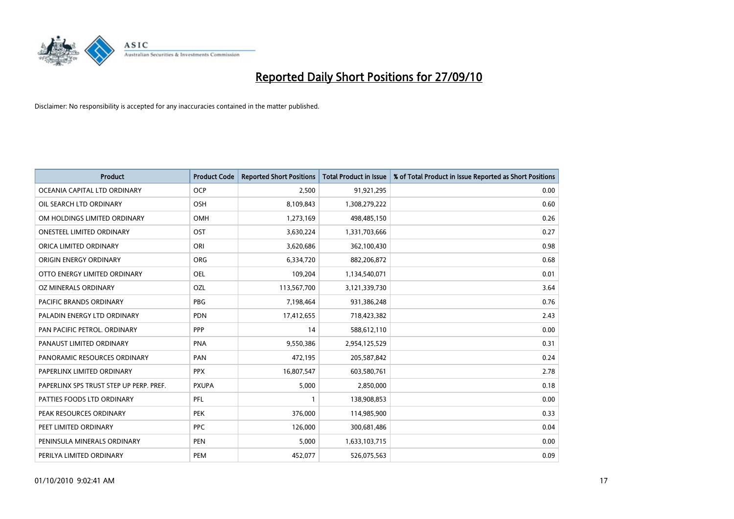

| <b>Product</b>                          | <b>Product Code</b> | <b>Reported Short Positions</b> | <b>Total Product in Issue</b> | % of Total Product in Issue Reported as Short Positions |
|-----------------------------------------|---------------------|---------------------------------|-------------------------------|---------------------------------------------------------|
| OCEANIA CAPITAL LTD ORDINARY            | <b>OCP</b>          | 2,500                           | 91,921,295                    | 0.00                                                    |
| OIL SEARCH LTD ORDINARY                 | <b>OSH</b>          | 8,109,843                       | 1,308,279,222                 | 0.60                                                    |
| OM HOLDINGS LIMITED ORDINARY            | <b>OMH</b>          | 1,273,169                       | 498,485,150                   | 0.26                                                    |
| ONESTEEL LIMITED ORDINARY               | OST                 | 3,630,224                       | 1,331,703,666                 | 0.27                                                    |
| ORICA LIMITED ORDINARY                  | ORI                 | 3,620,686                       | 362,100,430                   | 0.98                                                    |
| ORIGIN ENERGY ORDINARY                  | <b>ORG</b>          | 6,334,720                       | 882,206,872                   | 0.68                                                    |
| OTTO ENERGY LIMITED ORDINARY            | <b>OEL</b>          | 109,204                         | 1,134,540,071                 | 0.01                                                    |
| OZ MINERALS ORDINARY                    | OZL                 | 113,567,700                     | 3,121,339,730                 | 3.64                                                    |
| <b>PACIFIC BRANDS ORDINARY</b>          | <b>PBG</b>          | 7,198,464                       | 931,386,248                   | 0.76                                                    |
| PALADIN ENERGY LTD ORDINARY             | <b>PDN</b>          | 17,412,655                      | 718,423,382                   | 2.43                                                    |
| PAN PACIFIC PETROL. ORDINARY            | PPP                 | 14                              | 588,612,110                   | 0.00                                                    |
| PANAUST LIMITED ORDINARY                | <b>PNA</b>          | 9,550,386                       | 2,954,125,529                 | 0.31                                                    |
| PANORAMIC RESOURCES ORDINARY            | PAN                 | 472,195                         | 205,587,842                   | 0.24                                                    |
| PAPERLINX LIMITED ORDINARY              | <b>PPX</b>          | 16,807,547                      | 603,580,761                   | 2.78                                                    |
| PAPERLINX SPS TRUST STEP UP PERP. PREF. | <b>PXUPA</b>        | 5,000                           | 2,850,000                     | 0.18                                                    |
| PATTIES FOODS LTD ORDINARY              | PFL                 |                                 | 138,908,853                   | 0.00                                                    |
| PEAK RESOURCES ORDINARY                 | <b>PEK</b>          | 376,000                         | 114,985,900                   | 0.33                                                    |
| PEET LIMITED ORDINARY                   | <b>PPC</b>          | 126,000                         | 300,681,486                   | 0.04                                                    |
| PENINSULA MINERALS ORDINARY             | <b>PEN</b>          | 5,000                           | 1,633,103,715                 | 0.00                                                    |
| PERILYA LIMITED ORDINARY                | PEM                 | 452,077                         | 526,075,563                   | 0.09                                                    |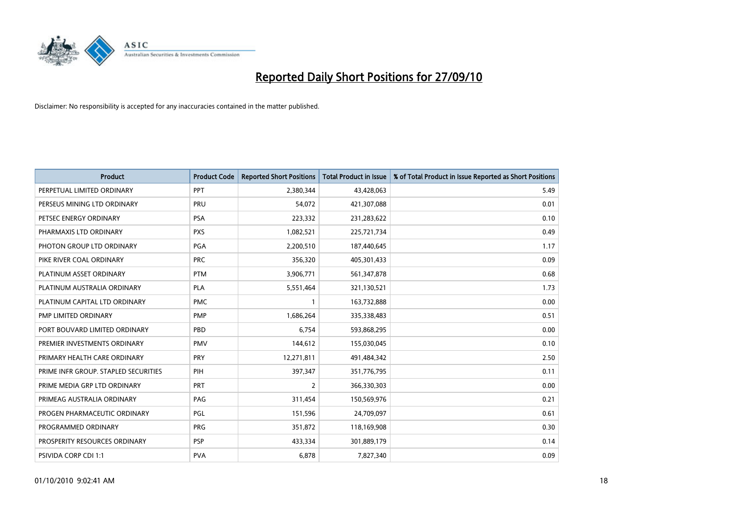

| <b>Product</b>                       | <b>Product Code</b> | <b>Reported Short Positions</b> | <b>Total Product in Issue</b> | % of Total Product in Issue Reported as Short Positions |
|--------------------------------------|---------------------|---------------------------------|-------------------------------|---------------------------------------------------------|
| PERPETUAL LIMITED ORDINARY           | PPT                 | 2,380,344                       | 43,428,063                    | 5.49                                                    |
| PERSEUS MINING LTD ORDINARY          | PRU                 | 54,072                          | 421,307,088                   | 0.01                                                    |
| PETSEC ENERGY ORDINARY               | <b>PSA</b>          | 223,332                         | 231,283,622                   | 0.10                                                    |
| PHARMAXIS LTD ORDINARY               | <b>PXS</b>          | 1,082,521                       | 225,721,734                   | 0.49                                                    |
| PHOTON GROUP LTD ORDINARY            | PGA                 | 2,200,510                       | 187,440,645                   | 1.17                                                    |
| PIKE RIVER COAL ORDINARY             | <b>PRC</b>          | 356,320                         | 405,301,433                   | 0.09                                                    |
| PLATINUM ASSET ORDINARY              | <b>PTM</b>          | 3,906,771                       | 561,347,878                   | 0.68                                                    |
| PLATINUM AUSTRALIA ORDINARY          | PLA                 | 5,551,464                       | 321,130,521                   | 1.73                                                    |
| PLATINUM CAPITAL LTD ORDINARY        | <b>PMC</b>          |                                 | 163,732,888                   | 0.00                                                    |
| PMP LIMITED ORDINARY                 | <b>PMP</b>          | 1,686,264                       | 335,338,483                   | 0.51                                                    |
| PORT BOUVARD LIMITED ORDINARY        | PBD                 | 6,754                           | 593,868,295                   | 0.00                                                    |
| PREMIER INVESTMENTS ORDINARY         | <b>PMV</b>          | 144,612                         | 155,030,045                   | 0.10                                                    |
| PRIMARY HEALTH CARE ORDINARY         | PRY                 | 12,271,811                      | 491,484,342                   | 2.50                                                    |
| PRIME INFR GROUP. STAPLED SECURITIES | PIH                 | 397,347                         | 351,776,795                   | 0.11                                                    |
| PRIME MEDIA GRP LTD ORDINARY         | <b>PRT</b>          | $\overline{2}$                  | 366,330,303                   | 0.00                                                    |
| PRIMEAG AUSTRALIA ORDINARY           | PAG                 | 311,454                         | 150,569,976                   | 0.21                                                    |
| PROGEN PHARMACEUTIC ORDINARY         | <b>PGL</b>          | 151,596                         | 24,709,097                    | 0.61                                                    |
| PROGRAMMED ORDINARY                  | <b>PRG</b>          | 351,872                         | 118,169,908                   | 0.30                                                    |
| PROSPERITY RESOURCES ORDINARY        | <b>PSP</b>          | 433,334                         | 301,889,179                   | 0.14                                                    |
| PSIVIDA CORP CDI 1:1                 | <b>PVA</b>          | 6,878                           | 7,827,340                     | 0.09                                                    |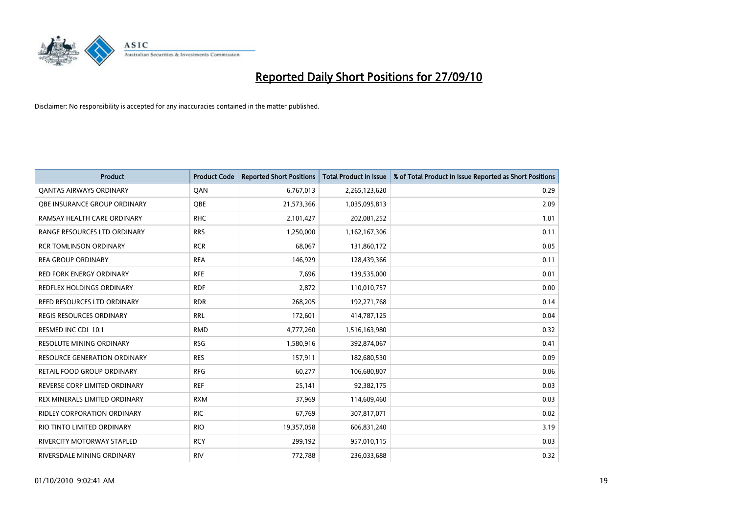

| <b>Product</b>                      | <b>Product Code</b> | <b>Reported Short Positions</b> | <b>Total Product in Issue</b> | % of Total Product in Issue Reported as Short Positions |
|-------------------------------------|---------------------|---------------------------------|-------------------------------|---------------------------------------------------------|
| <b>QANTAS AIRWAYS ORDINARY</b>      | QAN                 | 6,767,013                       | 2,265,123,620                 | 0.29                                                    |
| <b>OBE INSURANCE GROUP ORDINARY</b> | OBE                 | 21,573,366                      | 1,035,095,813                 | 2.09                                                    |
| RAMSAY HEALTH CARE ORDINARY         | <b>RHC</b>          | 2,101,427                       | 202,081,252                   | 1.01                                                    |
| RANGE RESOURCES LTD ORDINARY        | <b>RRS</b>          | 1,250,000                       | 1,162,167,306                 | 0.11                                                    |
| <b>RCR TOMLINSON ORDINARY</b>       | <b>RCR</b>          | 68,067                          | 131,860,172                   | 0.05                                                    |
| <b>REA GROUP ORDINARY</b>           | <b>REA</b>          | 146,929                         | 128,439,366                   | 0.11                                                    |
| <b>RED FORK ENERGY ORDINARY</b>     | <b>RFE</b>          | 7,696                           | 139,535,000                   | 0.01                                                    |
| REDFLEX HOLDINGS ORDINARY           | <b>RDF</b>          | 2,872                           | 110,010,757                   | 0.00                                                    |
| REED RESOURCES LTD ORDINARY         | <b>RDR</b>          | 268,205                         | 192,271,768                   | 0.14                                                    |
| <b>REGIS RESOURCES ORDINARY</b>     | <b>RRL</b>          | 172,601                         | 414,787,125                   | 0.04                                                    |
| RESMED INC CDI 10:1                 | <b>RMD</b>          | 4,777,260                       | 1,516,163,980                 | 0.32                                                    |
| RESOLUTE MINING ORDINARY            | <b>RSG</b>          | 1,580,916                       | 392,874,067                   | 0.41                                                    |
| <b>RESOURCE GENERATION ORDINARY</b> | <b>RES</b>          | 157,911                         | 182,680,530                   | 0.09                                                    |
| <b>RETAIL FOOD GROUP ORDINARY</b>   | <b>RFG</b>          | 60,277                          | 106,680,807                   | 0.06                                                    |
| REVERSE CORP LIMITED ORDINARY       | <b>REF</b>          | 25,141                          | 92,382,175                    | 0.03                                                    |
| REX MINERALS LIMITED ORDINARY       | <b>RXM</b>          | 37,969                          | 114,609,460                   | 0.03                                                    |
| <b>RIDLEY CORPORATION ORDINARY</b>  | <b>RIC</b>          | 67,769                          | 307,817,071                   | 0.02                                                    |
| RIO TINTO LIMITED ORDINARY          | <b>RIO</b>          | 19,357,058                      | 606,831,240                   | 3.19                                                    |
| <b>RIVERCITY MOTORWAY STAPLED</b>   | <b>RCY</b>          | 299,192                         | 957,010,115                   | 0.03                                                    |
| RIVERSDALE MINING ORDINARY          | <b>RIV</b>          | 772,788                         | 236,033,688                   | 0.32                                                    |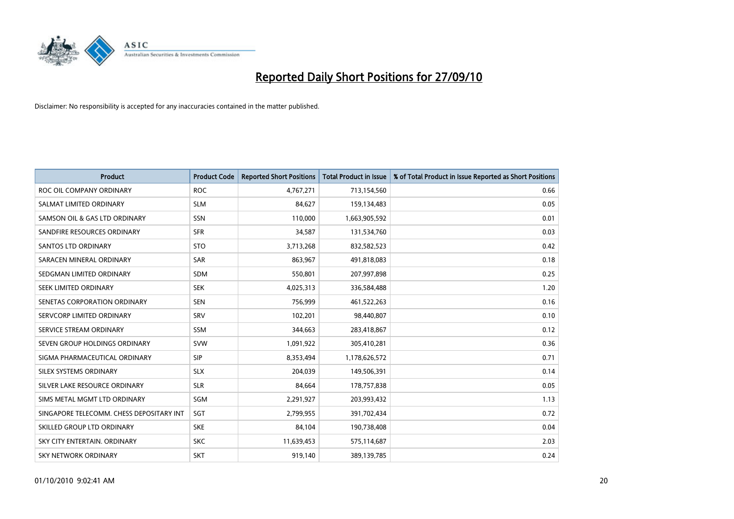

| <b>Product</b>                           | <b>Product Code</b> | <b>Reported Short Positions</b> | <b>Total Product in Issue</b> | % of Total Product in Issue Reported as Short Positions |
|------------------------------------------|---------------------|---------------------------------|-------------------------------|---------------------------------------------------------|
| ROC OIL COMPANY ORDINARY                 | <b>ROC</b>          | 4,767,271                       | 713,154,560                   | 0.66                                                    |
| SALMAT LIMITED ORDINARY                  | <b>SLM</b>          | 84,627                          | 159,134,483                   | 0.05                                                    |
| SAMSON OIL & GAS LTD ORDINARY            | SSN                 | 110,000                         | 1,663,905,592                 | 0.01                                                    |
| SANDFIRE RESOURCES ORDINARY              | <b>SFR</b>          | 34,587                          | 131,534,760                   | 0.03                                                    |
| <b>SANTOS LTD ORDINARY</b>               | <b>STO</b>          | 3,713,268                       | 832,582,523                   | 0.42                                                    |
| SARACEN MINERAL ORDINARY                 | SAR                 | 863,967                         | 491,818,083                   | 0.18                                                    |
| SEDGMAN LIMITED ORDINARY                 | <b>SDM</b>          | 550,801                         | 207,997,898                   | 0.25                                                    |
| SEEK LIMITED ORDINARY                    | <b>SEK</b>          | 4,025,313                       | 336,584,488                   | 1.20                                                    |
| SENETAS CORPORATION ORDINARY             | <b>SEN</b>          | 756,999                         | 461,522,263                   | 0.16                                                    |
| SERVCORP LIMITED ORDINARY                | SRV                 | 102,201                         | 98,440,807                    | 0.10                                                    |
| SERVICE STREAM ORDINARY                  | <b>SSM</b>          | 344,663                         | 283,418,867                   | 0.12                                                    |
| SEVEN GROUP HOLDINGS ORDINARY            | <b>SVW</b>          | 1,091,922                       | 305,410,281                   | 0.36                                                    |
| SIGMA PHARMACEUTICAL ORDINARY            | <b>SIP</b>          | 8,353,494                       | 1,178,626,572                 | 0.71                                                    |
| SILEX SYSTEMS ORDINARY                   | <b>SLX</b>          | 204,039                         | 149,506,391                   | 0.14                                                    |
| SILVER LAKE RESOURCE ORDINARY            | <b>SLR</b>          | 84,664                          | 178,757,838                   | 0.05                                                    |
| SIMS METAL MGMT LTD ORDINARY             | SGM                 | 2,291,927                       | 203,993,432                   | 1.13                                                    |
| SINGAPORE TELECOMM. CHESS DEPOSITARY INT | SGT                 | 2,799,955                       | 391,702,434                   | 0.72                                                    |
| SKILLED GROUP LTD ORDINARY               | <b>SKE</b>          | 84,104                          | 190,738,408                   | 0.04                                                    |
| SKY CITY ENTERTAIN, ORDINARY             | <b>SKC</b>          | 11,639,453                      | 575,114,687                   | 2.03                                                    |
| SKY NETWORK ORDINARY                     | <b>SKT</b>          | 919,140                         | 389,139,785                   | 0.24                                                    |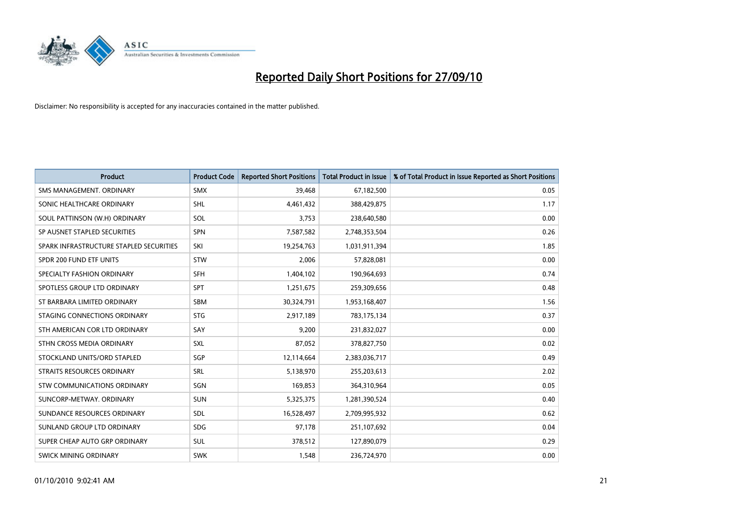

| <b>Product</b>                          | <b>Product Code</b> | <b>Reported Short Positions</b> | <b>Total Product in Issue</b> | % of Total Product in Issue Reported as Short Positions |
|-----------------------------------------|---------------------|---------------------------------|-------------------------------|---------------------------------------------------------|
| SMS MANAGEMENT, ORDINARY                | <b>SMX</b>          | 39.468                          | 67,182,500                    | 0.05                                                    |
| SONIC HEALTHCARE ORDINARY               | <b>SHL</b>          | 4,461,432                       | 388,429,875                   | 1.17                                                    |
| SOUL PATTINSON (W.H) ORDINARY           | SOL                 | 3,753                           | 238,640,580                   | 0.00                                                    |
| SP AUSNET STAPLED SECURITIES            | SPN                 | 7,587,582                       | 2,748,353,504                 | 0.26                                                    |
| SPARK INFRASTRUCTURE STAPLED SECURITIES | SKI                 | 19,254,763                      | 1,031,911,394                 | 1.85                                                    |
| SPDR 200 FUND ETF UNITS                 | STW                 | 2,006                           | 57,828,081                    | 0.00                                                    |
| SPECIALTY FASHION ORDINARY              | SFH                 | 1,404,102                       | 190,964,693                   | 0.74                                                    |
| SPOTLESS GROUP LTD ORDINARY             | SPT                 | 1,251,675                       | 259,309,656                   | 0.48                                                    |
| ST BARBARA LIMITED ORDINARY             | <b>SBM</b>          | 30,324,791                      | 1,953,168,407                 | 1.56                                                    |
| STAGING CONNECTIONS ORDINARY            | <b>STG</b>          | 2,917,189                       | 783,175,134                   | 0.37                                                    |
| STH AMERICAN COR LTD ORDINARY           | SAY                 | 9,200                           | 231,832,027                   | 0.00                                                    |
| STHN CROSS MEDIA ORDINARY               | SXL                 | 87,052                          | 378,827,750                   | 0.02                                                    |
| STOCKLAND UNITS/ORD STAPLED             | SGP                 | 12,114,664                      | 2,383,036,717                 | 0.49                                                    |
| <b>STRAITS RESOURCES ORDINARY</b>       | SRL                 | 5,138,970                       | 255,203,613                   | 2.02                                                    |
| STW COMMUNICATIONS ORDINARY             | SGN                 | 169,853                         | 364,310,964                   | 0.05                                                    |
| SUNCORP-METWAY, ORDINARY                | <b>SUN</b>          | 5,325,375                       | 1,281,390,524                 | 0.40                                                    |
| SUNDANCE RESOURCES ORDINARY             | <b>SDL</b>          | 16,528,497                      | 2,709,995,932                 | 0.62                                                    |
| SUNLAND GROUP LTD ORDINARY              | <b>SDG</b>          | 97,178                          | 251,107,692                   | 0.04                                                    |
| SUPER CHEAP AUTO GRP ORDINARY           | <b>SUL</b>          | 378,512                         | 127,890,079                   | 0.29                                                    |
| SWICK MINING ORDINARY                   | <b>SWK</b>          | 1,548                           | 236,724,970                   | 0.00                                                    |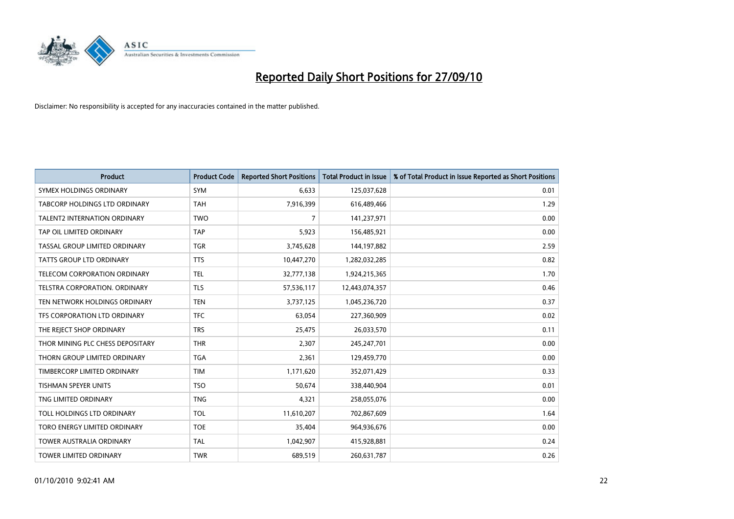

| <b>Product</b>                      | <b>Product Code</b> | <b>Reported Short Positions</b> | Total Product in Issue | % of Total Product in Issue Reported as Short Positions |
|-------------------------------------|---------------------|---------------------------------|------------------------|---------------------------------------------------------|
| SYMEX HOLDINGS ORDINARY             | SYM                 | 6,633                           | 125,037,628            | 0.01                                                    |
| TABCORP HOLDINGS LTD ORDINARY       | <b>TAH</b>          | 7,916,399                       | 616,489,466            | 1.29                                                    |
| <b>TALENT2 INTERNATION ORDINARY</b> | <b>TWO</b>          | 7                               | 141,237,971            | 0.00                                                    |
| TAP OIL LIMITED ORDINARY            | <b>TAP</b>          | 5,923                           | 156,485,921            | 0.00                                                    |
| TASSAL GROUP LIMITED ORDINARY       | <b>TGR</b>          | 3,745,628                       | 144,197,882            | 2.59                                                    |
| <b>TATTS GROUP LTD ORDINARY</b>     | <b>TTS</b>          | 10,447,270                      | 1,282,032,285          | 0.82                                                    |
| <b>TELECOM CORPORATION ORDINARY</b> | <b>TEL</b>          | 32,777,138                      | 1,924,215,365          | 1.70                                                    |
| TELSTRA CORPORATION. ORDINARY       | <b>TLS</b>          | 57,536,117                      | 12,443,074,357         | 0.46                                                    |
| TEN NETWORK HOLDINGS ORDINARY       | <b>TEN</b>          | 3,737,125                       | 1,045,236,720          | 0.37                                                    |
| TFS CORPORATION LTD ORDINARY        | <b>TFC</b>          | 63,054                          | 227,360,909            | 0.02                                                    |
| THE REJECT SHOP ORDINARY            | <b>TRS</b>          | 25,475                          | 26,033,570             | 0.11                                                    |
| THOR MINING PLC CHESS DEPOSITARY    | <b>THR</b>          | 2,307                           | 245,247,701            | 0.00                                                    |
| THORN GROUP LIMITED ORDINARY        | <b>TGA</b>          | 2,361                           | 129,459,770            | 0.00                                                    |
| TIMBERCORP LIMITED ORDINARY         | <b>TIM</b>          | 1,171,620                       | 352,071,429            | 0.33                                                    |
| <b>TISHMAN SPEYER UNITS</b>         | <b>TSO</b>          | 50,674                          | 338,440,904            | 0.01                                                    |
| TNG LIMITED ORDINARY                | <b>TNG</b>          | 4,321                           | 258,055,076            | 0.00                                                    |
| TOLL HOLDINGS LTD ORDINARY          | <b>TOL</b>          | 11,610,207                      | 702,867,609            | 1.64                                                    |
| TORO ENERGY LIMITED ORDINARY        | <b>TOE</b>          | 35,404                          | 964,936,676            | 0.00                                                    |
| <b>TOWER AUSTRALIA ORDINARY</b>     | <b>TAL</b>          | 1,042,907                       | 415,928,881            | 0.24                                                    |
| <b>TOWER LIMITED ORDINARY</b>       | <b>TWR</b>          | 689.519                         | 260,631,787            | 0.26                                                    |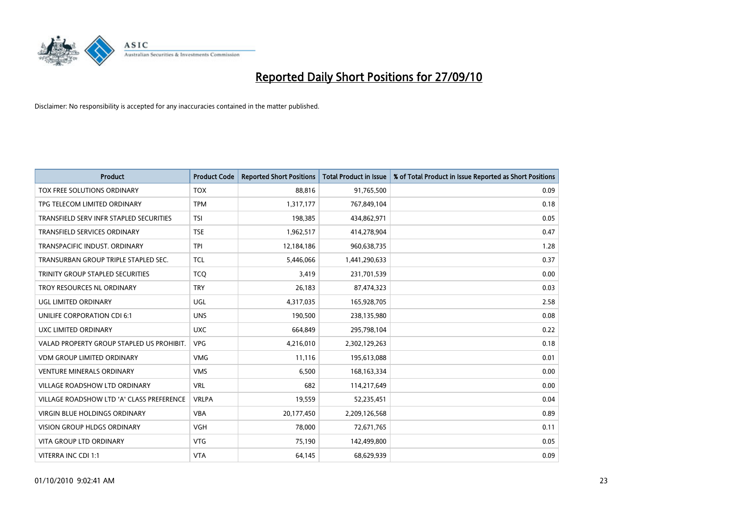

| <b>Product</b>                            | <b>Product Code</b> | <b>Reported Short Positions</b> | Total Product in Issue | % of Total Product in Issue Reported as Short Positions |
|-------------------------------------------|---------------------|---------------------------------|------------------------|---------------------------------------------------------|
| TOX FREE SOLUTIONS ORDINARY               | <b>TOX</b>          | 88,816                          | 91,765,500             | 0.09                                                    |
| TPG TELECOM LIMITED ORDINARY              | <b>TPM</b>          | 1,317,177                       | 767,849,104            | 0.18                                                    |
| TRANSFIELD SERV INFR STAPLED SECURITIES   | <b>TSI</b>          | 198.385                         | 434,862,971            | 0.05                                                    |
| TRANSFIELD SERVICES ORDINARY              | <b>TSE</b>          | 1,962,517                       | 414,278,904            | 0.47                                                    |
| TRANSPACIFIC INDUST, ORDINARY             | <b>TPI</b>          | 12,184,186                      | 960,638,735            | 1.28                                                    |
| TRANSURBAN GROUP TRIPLE STAPLED SEC.      | <b>TCL</b>          | 5,446,066                       | 1,441,290,633          | 0.37                                                    |
| TRINITY GROUP STAPLED SECURITIES          | <b>TCO</b>          | 3,419                           | 231,701,539            | 0.00                                                    |
| TROY RESOURCES NL ORDINARY                | <b>TRY</b>          | 26,183                          | 87,474,323             | 0.03                                                    |
| UGL LIMITED ORDINARY                      | UGL                 | 4,317,035                       | 165,928,705            | 2.58                                                    |
| UNILIFE CORPORATION CDI 6:1               | <b>UNS</b>          | 190,500                         | 238,135,980            | 0.08                                                    |
| UXC LIMITED ORDINARY                      | <b>UXC</b>          | 664,849                         | 295,798,104            | 0.22                                                    |
| VALAD PROPERTY GROUP STAPLED US PROHIBIT. | <b>VPG</b>          | 4,216,010                       | 2,302,129,263          | 0.18                                                    |
| <b>VDM GROUP LIMITED ORDINARY</b>         | <b>VMG</b>          | 11,116                          | 195,613,088            | 0.01                                                    |
| <b>VENTURE MINERALS ORDINARY</b>          | <b>VMS</b>          | 6,500                           | 168, 163, 334          | 0.00                                                    |
| <b>VILLAGE ROADSHOW LTD ORDINARY</b>      | <b>VRL</b>          | 682                             | 114,217,649            | 0.00                                                    |
| VILLAGE ROADSHOW LTD 'A' CLASS PREFERENCE | <b>VRLPA</b>        | 19,559                          | 52,235,451             | 0.04                                                    |
| VIRGIN BLUE HOLDINGS ORDINARY             | <b>VBA</b>          | 20,177,450                      | 2,209,126,568          | 0.89                                                    |
| VISION GROUP HLDGS ORDINARY               | <b>VGH</b>          | 78,000                          | 72,671,765             | 0.11                                                    |
| <b>VITA GROUP LTD ORDINARY</b>            | <b>VTG</b>          | 75,190                          | 142,499,800            | 0.05                                                    |
| VITERRA INC CDI 1:1                       | <b>VTA</b>          | 64,145                          | 68,629,939             | 0.09                                                    |